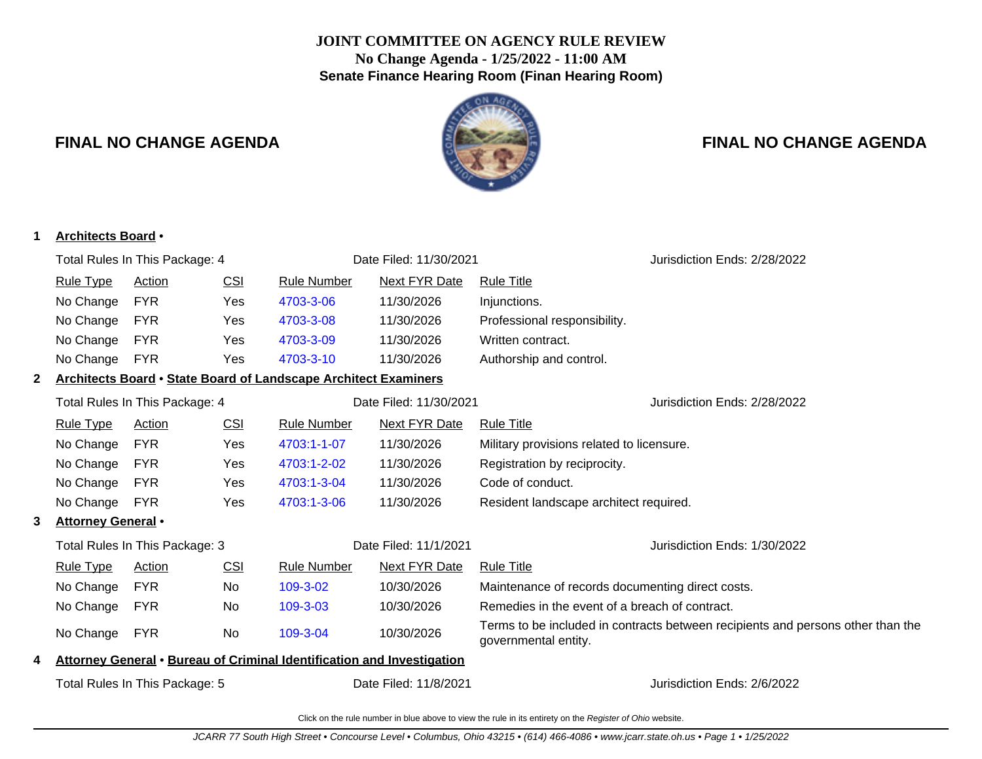## **JOINT COMMITTEE ON AGENCY RULE REVIEW No Change Agenda - 1/25/2022 - 11:00 AM Senate Finance Hearing Room (Finan Hearing Room)**



## **FINAL NO CHANGE AGENDA FINAL NO CHANGE AGENDA**

| 1            | <b>Architects Board •</b>      |               |            |                                                                        |                                                                        |                                                                                                         |
|--------------|--------------------------------|---------------|------------|------------------------------------------------------------------------|------------------------------------------------------------------------|---------------------------------------------------------------------------------------------------------|
|              | Total Rules In This Package: 4 |               |            |                                                                        | Date Filed: 11/30/2021                                                 | Jurisdiction Ends: 2/28/2022                                                                            |
|              | <b>Rule Type</b>               | <b>Action</b> | CSI        | <b>Rule Number</b>                                                     | <b>Next FYR Date</b>                                                   | <b>Rule Title</b>                                                                                       |
|              | No Change                      | <b>FYR</b>    | Yes        | 4703-3-06                                                              | 11/30/2026                                                             | Injunctions.                                                                                            |
|              | No Change                      | <b>FYR</b>    | Yes        | 4703-3-08                                                              | 11/30/2026                                                             | Professional responsibility.                                                                            |
|              | No Change                      | <b>FYR</b>    | Yes        | 4703-3-09                                                              | 11/30/2026                                                             | Written contract.                                                                                       |
|              | No Change                      | <b>FYR</b>    | Yes        | 4703-3-10                                                              | 11/30/2026                                                             | Authorship and control.                                                                                 |
| $\mathbf{2}$ |                                |               |            | <b>Architects Board • State Board of Landscape Architect Examiners</b> |                                                                        |                                                                                                         |
|              | Total Rules In This Package: 4 |               |            |                                                                        | Date Filed: 11/30/2021                                                 | Jurisdiction Ends: 2/28/2022                                                                            |
|              | <b>Rule Type</b>               | <b>Action</b> | CSI        | <b>Rule Number</b>                                                     | <b>Next FYR Date</b>                                                   | <b>Rule Title</b>                                                                                       |
|              | No Change                      | <b>FYR</b>    | Yes        | 4703:1-1-07                                                            | 11/30/2026                                                             | Military provisions related to licensure.                                                               |
|              | No Change                      | <b>FYR</b>    | Yes        | 4703:1-2-02                                                            | 11/30/2026                                                             | Registration by reciprocity.                                                                            |
|              | No Change                      | <b>FYR</b>    | Yes        | 4703:1-3-04                                                            | 11/30/2026                                                             | Code of conduct.                                                                                        |
|              | No Change                      | <b>FYR</b>    | Yes        | 4703:1-3-06                                                            | 11/30/2026                                                             | Resident landscape architect required.                                                                  |
| 3            | <b>Attorney General •</b>      |               |            |                                                                        |                                                                        |                                                                                                         |
|              | Total Rules In This Package: 3 |               |            |                                                                        | Date Filed: 11/1/2021                                                  | Jurisdiction Ends: 1/30/2022                                                                            |
|              | <b>Rule Type</b>               | <b>Action</b> | <b>CSI</b> | <b>Rule Number</b>                                                     | <b>Next FYR Date</b>                                                   | <b>Rule Title</b>                                                                                       |
|              | No Change                      | <b>FYR</b>    | No         | 109-3-02                                                               | 10/30/2026                                                             | Maintenance of records documenting direct costs.                                                        |
|              | No Change                      | <b>FYR</b>    | No         | 109-3-03                                                               | 10/30/2026                                                             | Remedies in the event of a breach of contract.                                                          |
|              | No Change                      | <b>FYR</b>    | No         | 109-3-04                                                               | 10/30/2026                                                             | Terms to be included in contracts between recipients and persons other than the<br>governmental entity. |
| 4            |                                |               |            |                                                                        | Attorney General • Bureau of Criminal Identification and Investigation |                                                                                                         |
|              | Total Rules In This Package: 5 |               |            |                                                                        | Date Filed: 11/8/2021                                                  | Jurisdiction Ends: 2/6/2022                                                                             |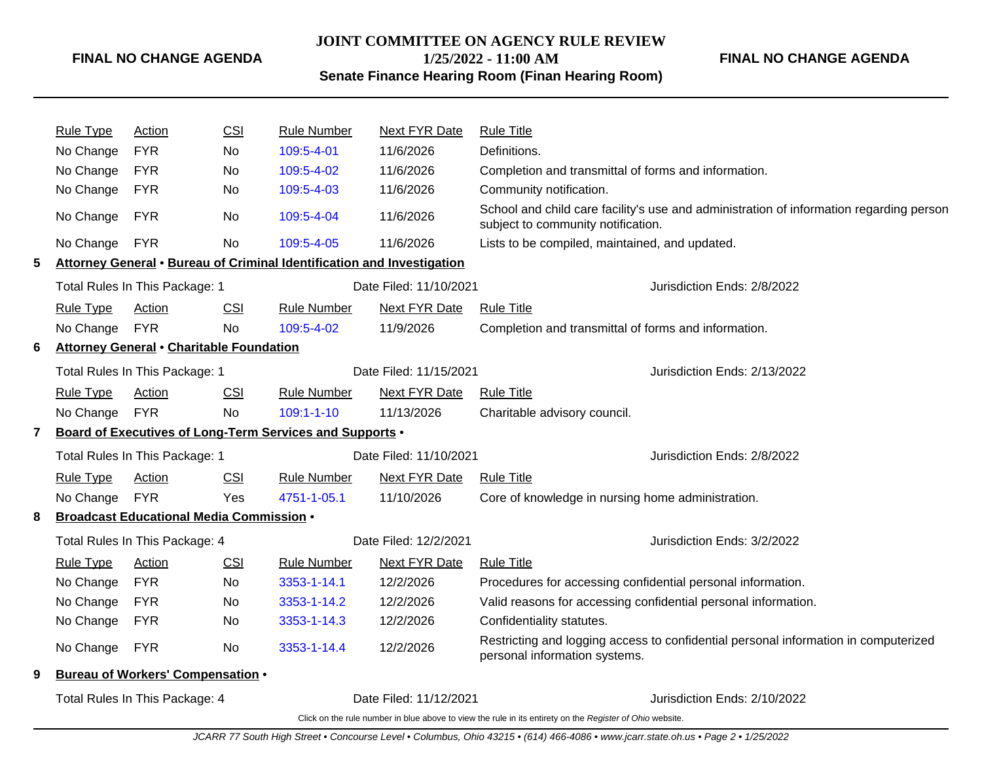**JOINT COMMITTEE ON AGENCY RULE REVIEW 1/25/2022 - 11:00 AM**

**FINAL NO CHANGE AGENDA**

## **Senate Finance Hearing Room (Finan Hearing Room)**

|   | <b>Rule Type</b> | <b>Action</b>                                                                            | <b>CSI</b> | <b>Rule Number</b>                                                     | Next FYR Date          | <b>Rule Title</b>                                                                                                                 |
|---|------------------|------------------------------------------------------------------------------------------|------------|------------------------------------------------------------------------|------------------------|-----------------------------------------------------------------------------------------------------------------------------------|
|   | No Change        | <b>FYR</b>                                                                               | No.        | 109:5-4-01                                                             | 11/6/2026              | Definitions.                                                                                                                      |
|   | No Change        | <b>FYR</b>                                                                               | No.        | 109:5-4-02                                                             | 11/6/2026              | Completion and transmittal of forms and information.                                                                              |
|   | No Change        | <b>FYR</b>                                                                               | No         | 109:5-4-03                                                             | 11/6/2026              | Community notification.                                                                                                           |
|   | No Change        | <b>FYR</b>                                                                               | No         | 109:5-4-04                                                             | 11/6/2026              | School and child care facility's use and administration of information regarding person<br>subject to community notification.     |
|   | No Change        | <b>FYR</b>                                                                               | No         | 109:5-4-05                                                             | 11/6/2026              | Lists to be compiled, maintained, and updated.                                                                                    |
| 5 |                  |                                                                                          |            | Attorney General . Bureau of Criminal Identification and Investigation |                        |                                                                                                                                   |
|   |                  | Total Rules In This Package: 1                                                           |            |                                                                        | Date Filed: 11/10/2021 | Jurisdiction Ends: 2/8/2022                                                                                                       |
|   | <b>Rule Type</b> | <b>Action</b>                                                                            | CSI        | <b>Rule Number</b>                                                     | <b>Next FYR Date</b>   | <b>Rule Title</b>                                                                                                                 |
|   | No Change        | <b>FYR</b>                                                                               | <b>No</b>  | 109:5-4-02                                                             | 11/9/2026              | Completion and transmittal of forms and information.                                                                              |
| 6 |                  | <b>Attorney General • Charitable Foundation</b>                                          |            |                                                                        |                        |                                                                                                                                   |
|   |                  | Date Filed: 11/15/2021<br>Jurisdiction Ends: 2/13/2022<br>Total Rules In This Package: 1 |            |                                                                        |                        |                                                                                                                                   |
|   | <b>Rule Type</b> | <b>Action</b>                                                                            | <b>CSI</b> | <b>Rule Number</b>                                                     | <b>Next FYR Date</b>   | <b>Rule Title</b>                                                                                                                 |
|   | No Change        | <b>FYR</b>                                                                               | <b>No</b>  | $109:1 - 1 - 10$                                                       | 11/13/2026             | Charitable advisory council.                                                                                                      |
| 7 |                  |                                                                                          |            | Board of Executives of Long-Term Services and Supports .               |                        |                                                                                                                                   |
|   |                  | Total Rules In This Package: 1                                                           |            |                                                                        | Date Filed: 11/10/2021 | Jurisdiction Ends: 2/8/2022                                                                                                       |
|   | <b>Rule Type</b> | Action                                                                                   | CSI        | Rule Number                                                            | Next FYR Date          | Rule Title                                                                                                                        |
|   | No Change        | <b>FYR</b>                                                                               | Yes        | 4751-1-05.1                                                            | 11/10/2026             | Core of knowledge in nursing home administration.                                                                                 |
| 8 |                  | <b>Broadcast Educational Media Commission .</b>                                          |            |                                                                        |                        |                                                                                                                                   |
|   |                  | Total Rules In This Package: 4                                                           |            |                                                                        | Date Filed: 12/2/2021  | Jurisdiction Ends: 3/2/2022                                                                                                       |
|   | <b>Rule Type</b> | Action                                                                                   | <b>CSI</b> | <b>Rule Number</b>                                                     | <b>Next FYR Date</b>   | <b>Rule Title</b>                                                                                                                 |
|   | No Change        | <b>FYR</b>                                                                               | No.        | 3353-1-14.1                                                            | 12/2/2026              | Procedures for accessing confidential personal information.                                                                       |
|   | No Change        | <b>FYR</b>                                                                               | No.        | 3353-1-14.2                                                            | 12/2/2026              | Valid reasons for accessing confidential personal information.                                                                    |
|   | No Change        | <b>FYR</b>                                                                               | No.        | 3353-1-14.3                                                            | 12/2/2026              | Confidentiality statutes.                                                                                                         |
|   | No Change        | <b>FYR</b>                                                                               | No         | 3353-1-14.4                                                            | 12/2/2026              | Restricting and logging access to confidential personal information in computerized<br>personal information systems.              |
| 9 |                  | <b>Bureau of Workers' Compensation •</b>                                                 |            |                                                                        |                        |                                                                                                                                   |
|   |                  | Total Rules In This Package: 4                                                           |            |                                                                        | Date Filed: 11/12/2021 | Jurisdiction Ends: 2/10/2022                                                                                                      |
|   |                  |                                                                                          |            |                                                                        |                        | Click on the rule number in blue above to view the rule in its entirety on the Register of Ohio website.                          |
|   |                  |                                                                                          |            |                                                                        |                        | JCARR 77 South High Street • Concourse Level • Columbus, Ohio 43215 • (614) 466-4086 • www.jcarr.state.oh.us • Page 2 • 1/25/2022 |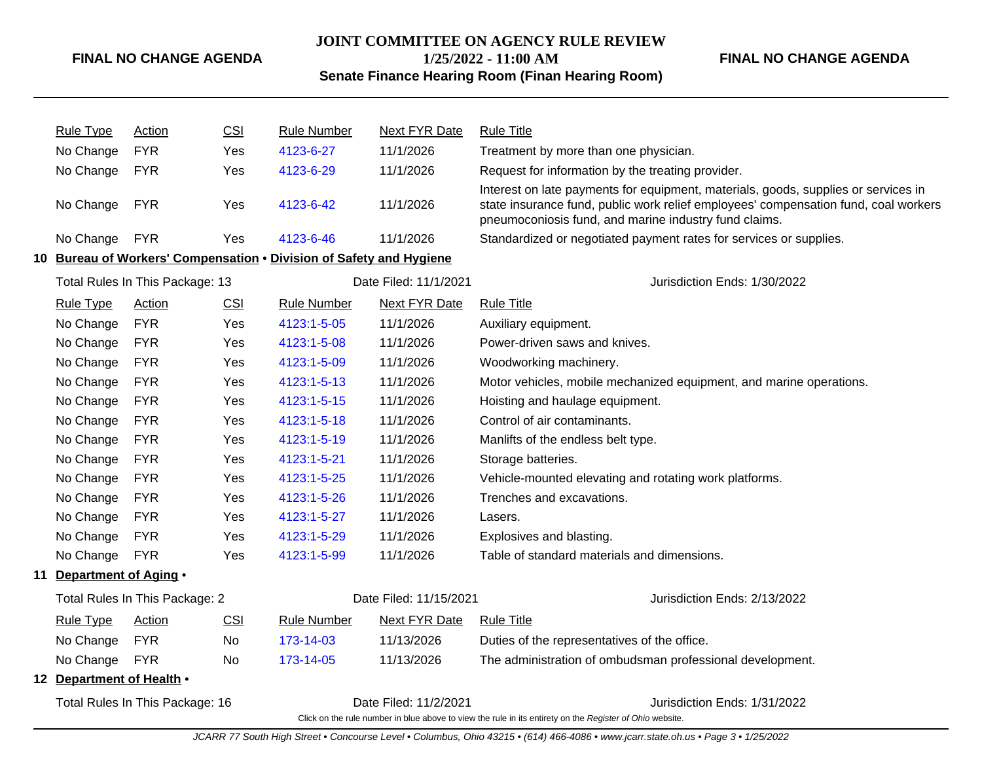**JOINT COMMITTEE ON AGENCY RULE REVIEW**

**1/25/2022 - 11:00 AM**

### **FINAL NO CHANGE AGENDA**

**Senate Finance Hearing Room (Finan Hearing Room)**

|                                 | <b>Rule Type</b>          | <b>Action</b>                   | CSI        | <b>Rule Number</b>                                                  | <b>Next FYR Date</b>   | <b>Rule Title</b>                                                                                                                                                                                                                  |
|---------------------------------|---------------------------|---------------------------------|------------|---------------------------------------------------------------------|------------------------|------------------------------------------------------------------------------------------------------------------------------------------------------------------------------------------------------------------------------------|
|                                 | No Change                 | <b>FYR</b>                      | Yes        | 4123-6-27                                                           | 11/1/2026              | Treatment by more than one physician.                                                                                                                                                                                              |
|                                 | No Change                 | <b>FYR</b>                      | Yes        | 4123-6-29                                                           | 11/1/2026              | Request for information by the treating provider.                                                                                                                                                                                  |
|                                 | No Change                 | <b>FYR</b>                      | Yes        | 4123-6-42                                                           | 11/1/2026              | Interest on late payments for equipment, materials, goods, supplies or services in<br>state insurance fund, public work relief employees' compensation fund, coal workers<br>pneumoconiosis fund, and marine industry fund claims. |
|                                 | No Change                 | <b>FYR</b>                      | <b>Yes</b> | 4123-6-46                                                           | 11/1/2026              | Standardized or negotiated payment rates for services or supplies.                                                                                                                                                                 |
|                                 |                           |                                 |            | 10 Bureau of Workers' Compensation . Division of Safety and Hygiene |                        |                                                                                                                                                                                                                                    |
|                                 |                           | Total Rules In This Package: 13 |            |                                                                     | Date Filed: 11/1/2021  | Jurisdiction Ends: 1/30/2022                                                                                                                                                                                                       |
|                                 | <b>Rule Type</b>          | <b>Action</b>                   | <b>CSI</b> | <b>Rule Number</b>                                                  | <b>Next FYR Date</b>   | <b>Rule Title</b>                                                                                                                                                                                                                  |
|                                 | No Change                 | <b>FYR</b>                      | Yes        | 4123:1-5-05                                                         | 11/1/2026              | Auxiliary equipment.                                                                                                                                                                                                               |
|                                 | No Change                 | <b>FYR</b>                      | <b>Yes</b> | 4123:1-5-08                                                         | 11/1/2026              | Power-driven saws and knives.                                                                                                                                                                                                      |
|                                 | No Change                 | <b>FYR</b>                      | Yes        | 4123:1-5-09                                                         | 11/1/2026              | Woodworking machinery.                                                                                                                                                                                                             |
|                                 | No Change                 | <b>FYR</b>                      | Yes        | 4123:1-5-13                                                         | 11/1/2026              | Motor vehicles, mobile mechanized equipment, and marine operations.                                                                                                                                                                |
|                                 | No Change                 | <b>FYR</b>                      | <b>Yes</b> | 4123:1-5-15                                                         | 11/1/2026              | Hoisting and haulage equipment.                                                                                                                                                                                                    |
|                                 | No Change                 | <b>FYR</b>                      | Yes        | 4123:1-5-18                                                         | 11/1/2026              | Control of air contaminants.                                                                                                                                                                                                       |
|                                 | No Change                 | <b>FYR</b>                      | <b>Yes</b> | 4123:1-5-19                                                         | 11/1/2026              | Manlifts of the endless belt type.                                                                                                                                                                                                 |
|                                 | No Change                 | <b>FYR</b>                      | Yes        | 4123:1-5-21                                                         | 11/1/2026              | Storage batteries.                                                                                                                                                                                                                 |
|                                 | No Change                 | <b>FYR</b>                      | Yes        | 4123:1-5-25                                                         | 11/1/2026              | Vehicle-mounted elevating and rotating work platforms.                                                                                                                                                                             |
|                                 | No Change                 | <b>FYR</b>                      | <b>Yes</b> | 4123:1-5-26                                                         | 11/1/2026              | Trenches and excavations.                                                                                                                                                                                                          |
|                                 | No Change                 | <b>FYR</b>                      | Yes        | 4123:1-5-27                                                         | 11/1/2026              | Lasers.                                                                                                                                                                                                                            |
|                                 | No Change                 | <b>FYR</b>                      | Yes        | 4123:1-5-29                                                         | 11/1/2026              | Explosives and blasting.                                                                                                                                                                                                           |
|                                 | No Change                 | <b>FYR</b>                      | Yes        | 4123:1-5-99                                                         | 11/1/2026              | Table of standard materials and dimensions.                                                                                                                                                                                        |
|                                 | 11 Department of Aging .  |                                 |            |                                                                     |                        |                                                                                                                                                                                                                                    |
|                                 |                           | Total Rules In This Package: 2  |            |                                                                     | Date Filed: 11/15/2021 | Jurisdiction Ends: 2/13/2022                                                                                                                                                                                                       |
|                                 | <b>Rule Type</b>          | <b>Action</b>                   | <u>CSI</u> | <b>Rule Number</b>                                                  | <b>Next FYR Date</b>   | <b>Rule Title</b>                                                                                                                                                                                                                  |
|                                 | No Change                 | <b>FYR</b>                      | No         | 173-14-03                                                           | 11/13/2026             | Duties of the representatives of the office.                                                                                                                                                                                       |
|                                 | No Change                 | <b>FYR</b>                      | No         | 173-14-05                                                           | 11/13/2026             | The administration of ombudsman professional development.                                                                                                                                                                          |
|                                 | 12 Department of Health . |                                 |            |                                                                     |                        |                                                                                                                                                                                                                                    |
| Total Rules In This Package: 16 |                           |                                 |            |                                                                     | Date Filed: 11/2/2021  | Jurisdiction Ends: 1/31/2022<br>Click on the rule number in blue above to view the rule in its entirety on the Register of Ohio website.                                                                                           |

JCARR 77 South High Street • Concourse Level • Columbus, Ohio 43215 • (614) 466-4086 • www.jcarr.state.oh.us • Page 3 • 1/25/2022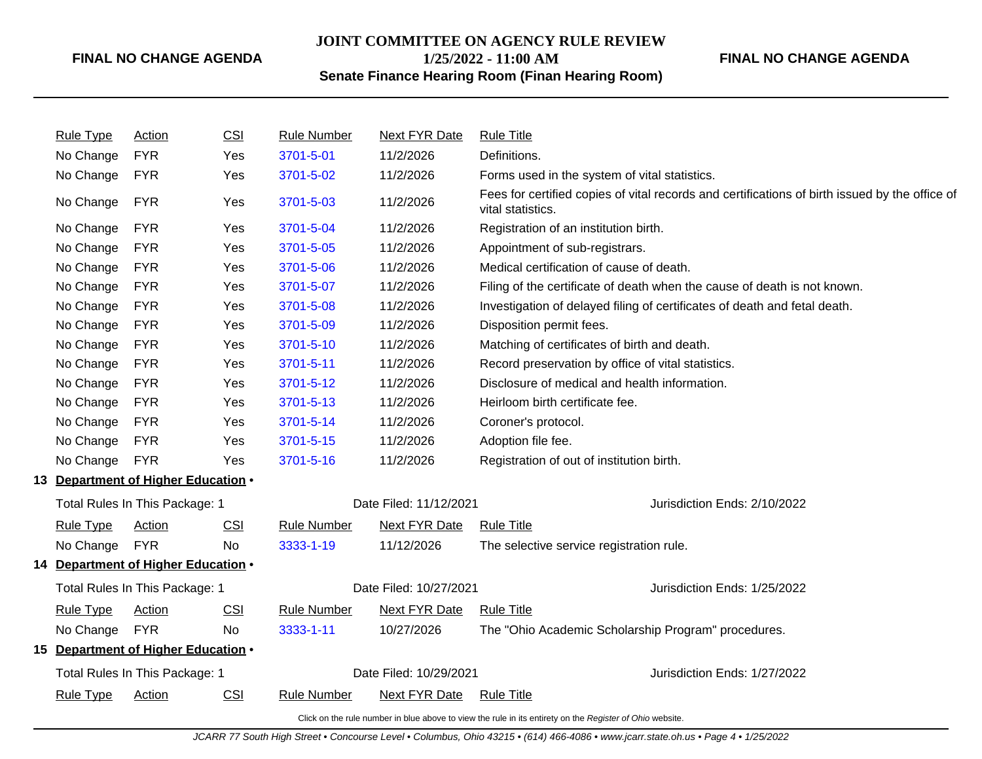## **JOINT COMMITTEE ON AGENCY RULE REVIEW 1/25/2022 - 11:00 AM**

### **FINAL NO CHANGE AGENDA**

**Senate Finance Hearing Room (Finan Hearing Room)**

| <b>Rule Type</b> | <b>Action</b>                       | CSI        | <b>Rule Number</b> | <b>Next FYR Date</b>   | <b>Rule Title</b>                                                                                                   |
|------------------|-------------------------------------|------------|--------------------|------------------------|---------------------------------------------------------------------------------------------------------------------|
| No Change        | <b>FYR</b>                          | Yes        | 3701-5-01          | 11/2/2026              | Definitions.                                                                                                        |
| No Change        | <b>FYR</b>                          | Yes        | 3701-5-02          | 11/2/2026              | Forms used in the system of vital statistics.                                                                       |
| No Change        | <b>FYR</b>                          | Yes        | 3701-5-03          | 11/2/2026              | Fees for certified copies of vital records and certifications of birth issued by the office of<br>vital statistics. |
| No Change        | <b>FYR</b>                          | Yes        | 3701-5-04          | 11/2/2026              | Registration of an institution birth.                                                                               |
| No Change        | <b>FYR</b>                          | Yes        | 3701-5-05          | 11/2/2026              | Appointment of sub-registrars.                                                                                      |
| No Change        | <b>FYR</b>                          | Yes        | 3701-5-06          | 11/2/2026              | Medical certification of cause of death.                                                                            |
| No Change        | <b>FYR</b>                          | Yes        | 3701-5-07          | 11/2/2026              | Filing of the certificate of death when the cause of death is not known.                                            |
| No Change        | <b>FYR</b>                          | Yes        | 3701-5-08          | 11/2/2026              | Investigation of delayed filing of certificates of death and fetal death.                                           |
| No Change        | <b>FYR</b>                          | Yes        | 3701-5-09          | 11/2/2026              | Disposition permit fees.                                                                                            |
| No Change        | <b>FYR</b>                          | Yes        | 3701-5-10          | 11/2/2026              | Matching of certificates of birth and death.                                                                        |
| No Change        | <b>FYR</b>                          | Yes        | 3701-5-11          | 11/2/2026              | Record preservation by office of vital statistics.                                                                  |
| No Change        | <b>FYR</b>                          | Yes        | 3701-5-12          | 11/2/2026              | Disclosure of medical and health information.                                                                       |
| No Change        | <b>FYR</b>                          | Yes        | 3701-5-13          | 11/2/2026              | Heirloom birth certificate fee.                                                                                     |
| No Change        | <b>FYR</b>                          | Yes        | 3701-5-14          | 11/2/2026              | Coroner's protocol.                                                                                                 |
| No Change        | <b>FYR</b>                          | Yes        | 3701-5-15          | 11/2/2026              | Adoption file fee.                                                                                                  |
| No Change        | <b>FYR</b>                          | Yes        | 3701-5-16          | 11/2/2026              | Registration of out of institution birth.                                                                           |
|                  | 13 Department of Higher Education . |            |                    |                        |                                                                                                                     |
|                  | Total Rules In This Package: 1      |            |                    | Date Filed: 11/12/2021 | Jurisdiction Ends: 2/10/2022                                                                                        |
| <b>Rule Type</b> | <b>Action</b>                       | CSI        | <b>Rule Number</b> | <b>Next FYR Date</b>   | <b>Rule Title</b>                                                                                                   |
| No Change        | <b>FYR</b>                          | <b>No</b>  | 3333-1-19          | 11/12/2026             | The selective service registration rule.                                                                            |
|                  | 14 Department of Higher Education . |            |                    |                        |                                                                                                                     |
|                  | Total Rules In This Package: 1      |            |                    | Date Filed: 10/27/2021 | Jurisdiction Ends: 1/25/2022                                                                                        |
| <b>Rule Type</b> | <b>Action</b>                       | <b>CSI</b> | <b>Rule Number</b> | <b>Next FYR Date</b>   | <b>Rule Title</b>                                                                                                   |
| No Change        | <b>FYR</b>                          | <b>No</b>  | 3333-1-11          | 10/27/2026             | The "Ohio Academic Scholarship Program" procedures.                                                                 |
|                  | 15 Department of Higher Education . |            |                    |                        |                                                                                                                     |
|                  | Total Rules In This Package: 1      |            |                    | Date Filed: 10/29/2021 | Jurisdiction Ends: 1/27/2022                                                                                        |
| <b>Rule Type</b> | <b>Action</b>                       | <b>CSI</b> | <b>Rule Number</b> | Next FYR Date          | <b>Rule Title</b>                                                                                                   |
|                  |                                     |            |                    |                        |                                                                                                                     |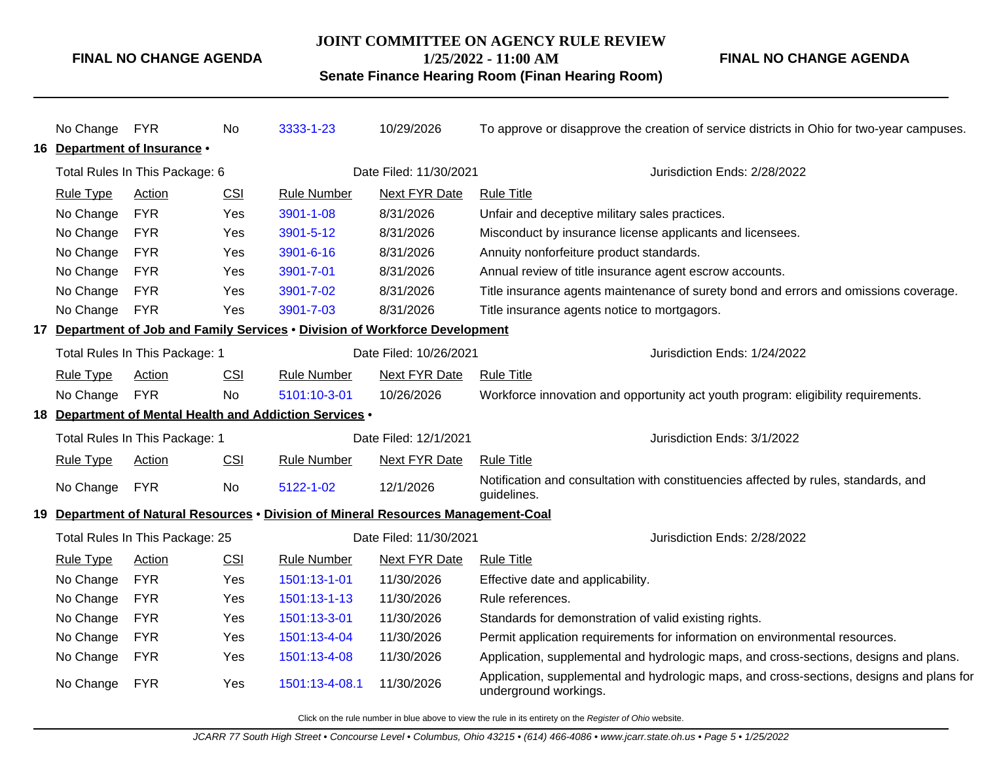### **JOINT COMMITTEE ON AGENCY RULE REVIEW**

**1/25/2022 - 11:00 AM**

### **Senate Finance Hearing Room (Finan Hearing Room)**

**FINAL NO CHANGE AGENDA**

| No Change FYR    |                                                          | No         | 3333-1-23                                               | 10/29/2026                                                                         | To approve or disapprove the creation of service districts in Ohio for two-year campuses.                         |  |  |
|------------------|----------------------------------------------------------|------------|---------------------------------------------------------|------------------------------------------------------------------------------------|-------------------------------------------------------------------------------------------------------------------|--|--|
|                  | 16 Department of Insurance .                             |            |                                                         |                                                                                    |                                                                                                                   |  |  |
|                  | Total Rules In This Package: 6                           |            |                                                         | Date Filed: 11/30/2021                                                             | Jurisdiction Ends: 2/28/2022                                                                                      |  |  |
| <b>Rule Type</b> | Action                                                   | CSI        | <b>Rule Number</b>                                      | Next FYR Date                                                                      | <b>Rule Title</b>                                                                                                 |  |  |
| No Change        | <b>FYR</b>                                               | Yes        | 3901-1-08                                               | 8/31/2026                                                                          | Unfair and deceptive military sales practices.                                                                    |  |  |
| No Change        | <b>FYR</b>                                               | Yes        | 3901-5-12                                               | 8/31/2026                                                                          | Misconduct by insurance license applicants and licensees.                                                         |  |  |
| No Change        | <b>FYR</b>                                               | Yes        | 3901-6-16                                               | 8/31/2026                                                                          | Annuity nonforfeiture product standards.                                                                          |  |  |
| No Change        | <b>FYR</b>                                               | Yes        | 3901-7-01                                               | 8/31/2026                                                                          | Annual review of title insurance agent escrow accounts.                                                           |  |  |
| No Change        | <b>FYR</b>                                               | Yes        | 3901-7-02                                               | 8/31/2026                                                                          | Title insurance agents maintenance of surety bond and errors and omissions coverage.                              |  |  |
| No Change        | <b>FYR</b>                                               | Yes        | 3901-7-03                                               | 8/31/2026                                                                          | Title insurance agents notice to mortgagors.                                                                      |  |  |
|                  |                                                          |            |                                                         | 17 Department of Job and Family Services . Division of Workforce Development       |                                                                                                                   |  |  |
|                  | Total Rules In This Package: 1<br>Date Filed: 10/26/2021 |            |                                                         | Jurisdiction Ends: 1/24/2022                                                       |                                                                                                                   |  |  |
| <b>Rule Type</b> | Action                                                   | <b>CSI</b> | Rule Number                                             | Next FYR Date                                                                      | <b>Rule Title</b>                                                                                                 |  |  |
| No Change        | <b>FYR</b>                                               | <b>No</b>  | 5101:10-3-01                                            | 10/26/2026                                                                         | Workforce innovation and opportunity act youth program: eligibility requirements.                                 |  |  |
|                  |                                                          |            | 18 Department of Mental Health and Addiction Services . |                                                                                    |                                                                                                                   |  |  |
|                  | Total Rules In This Package: 1                           |            |                                                         | Date Filed: 12/1/2021                                                              | Jurisdiction Ends: 3/1/2022                                                                                       |  |  |
| <b>Rule Type</b> | <b>Action</b>                                            | CSI        | <b>Rule Number</b>                                      | <b>Next FYR Date</b>                                                               | <b>Rule Title</b>                                                                                                 |  |  |
| No Change        | <b>FYR</b>                                               | No         | 5122-1-02                                               | 12/1/2026                                                                          | Notification and consultation with constituencies affected by rules, standards, and<br>guidelines.                |  |  |
|                  |                                                          |            |                                                         | 19 Department of Natural Resources • Division of Mineral Resources Management-Coal |                                                                                                                   |  |  |
|                  | Total Rules In This Package: 25                          |            |                                                         | Date Filed: 11/30/2021                                                             | Jurisdiction Ends: 2/28/2022                                                                                      |  |  |
| <b>Rule Type</b> | Action                                                   | <b>CSI</b> | <b>Rule Number</b>                                      | Next FYR Date                                                                      | <b>Rule Title</b>                                                                                                 |  |  |
| No Change        | <b>FYR</b>                                               | Yes        | 1501:13-1-01                                            | 11/30/2026                                                                         | Effective date and applicability.                                                                                 |  |  |
| No Change        | <b>FYR</b>                                               | Yes        | 1501:13-1-13                                            | 11/30/2026                                                                         | Rule references.                                                                                                  |  |  |
| No Change        | <b>FYR</b>                                               | Yes        | 1501:13-3-01                                            | 11/30/2026                                                                         | Standards for demonstration of valid existing rights.                                                             |  |  |
| No Change        | <b>FYR</b>                                               | Yes        | 1501:13-4-04                                            | 11/30/2026                                                                         | Permit application requirements for information on environmental resources.                                       |  |  |
| No Change        | <b>FYR</b>                                               | Yes        | 1501:13-4-08                                            | 11/30/2026                                                                         | Application, supplemental and hydrologic maps, and cross-sections, designs and plans.                             |  |  |
| No Change        | <b>FYR</b>                                               | Yes        | 1501:13-4-08.1                                          | 11/30/2026                                                                         | Application, supplemental and hydrologic maps, and cross-sections, designs and plans for<br>underground workings. |  |  |
|                  |                                                          |            |                                                         |                                                                                    |                                                                                                                   |  |  |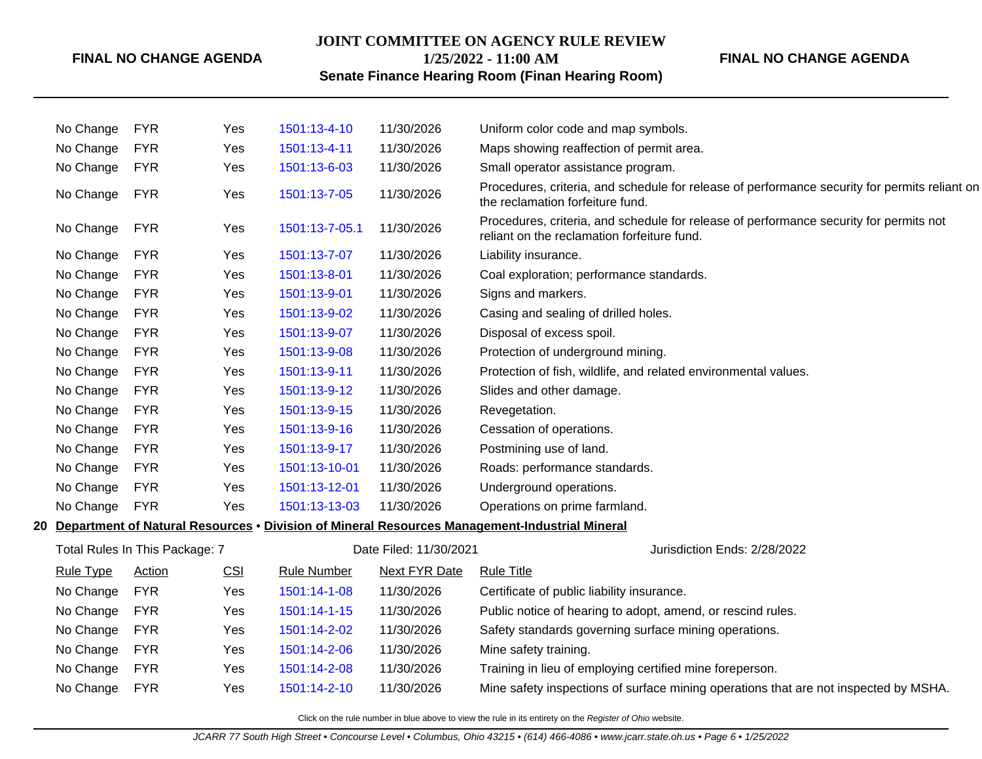#### **JOINT COMMITTEE ON AGENCY RULE REVIEW**

**1/25/2022 - 11:00 AM**

### **FINAL NO CHANGE AGENDA**

## **Senate Finance Hearing Room (Finan Hearing Room)**

|    | No Change        | <b>FYR</b>                     | Yes        | 1501:13-4-10       | 11/30/2026             | Uniform color code and map symbols.                                                                                                   |
|----|------------------|--------------------------------|------------|--------------------|------------------------|---------------------------------------------------------------------------------------------------------------------------------------|
|    | No Change        | <b>FYR</b>                     | Yes        | 1501:13-4-11       | 11/30/2026             | Maps showing reaffection of permit area.                                                                                              |
|    | No Change        | <b>FYR</b>                     | Yes        | 1501:13-6-03       | 11/30/2026             | Small operator assistance program.                                                                                                    |
|    | No Change        | <b>FYR</b>                     | Yes        | 1501:13-7-05       | 11/30/2026             | Procedures, criteria, and schedule for release of performance security for permits reliant on<br>the reclamation forfeiture fund.     |
|    | No Change        | <b>FYR</b>                     | Yes        | 1501:13-7-05.1     | 11/30/2026             | Procedures, criteria, and schedule for release of performance security for permits not<br>reliant on the reclamation forfeiture fund. |
|    | No Change        | <b>FYR</b>                     | Yes        | 1501:13-7-07       | 11/30/2026             | Liability insurance.                                                                                                                  |
|    | No Change        | <b>FYR</b>                     | Yes        | 1501:13-8-01       | 11/30/2026             | Coal exploration; performance standards.                                                                                              |
|    | No Change        | <b>FYR</b>                     | Yes        | 1501:13-9-01       | 11/30/2026             | Signs and markers.                                                                                                                    |
|    | No Change        | <b>FYR</b>                     | Yes        | 1501:13-9-02       | 11/30/2026             | Casing and sealing of drilled holes.                                                                                                  |
|    | No Change        | <b>FYR</b>                     | Yes        | 1501:13-9-07       | 11/30/2026             | Disposal of excess spoil.                                                                                                             |
|    | No Change        | <b>FYR</b>                     | Yes        | 1501:13-9-08       | 11/30/2026             | Protection of underground mining.                                                                                                     |
|    | No Change        | <b>FYR</b>                     | Yes        | 1501:13-9-11       | 11/30/2026             | Protection of fish, wildlife, and related environmental values.                                                                       |
|    | No Change        | <b>FYR</b>                     | Yes        | 1501:13-9-12       | 11/30/2026             | Slides and other damage.                                                                                                              |
|    | No Change        | <b>FYR</b>                     | Yes        | 1501:13-9-15       | 11/30/2026             | Revegetation.                                                                                                                         |
|    | No Change        | <b>FYR</b>                     | Yes        | 1501:13-9-16       | 11/30/2026             | Cessation of operations.                                                                                                              |
|    | No Change        | <b>FYR</b>                     | Yes        | 1501:13-9-17       | 11/30/2026             | Postmining use of land.                                                                                                               |
|    | No Change        | <b>FYR</b>                     | Yes        | 1501:13-10-01      | 11/30/2026             | Roads: performance standards.                                                                                                         |
|    | No Change        | <b>FYR</b>                     | Yes        | 1501:13-12-01      | 11/30/2026             | Underground operations.                                                                                                               |
|    | No Change        | <b>FYR</b>                     | Yes        | 1501:13-13-03      | 11/30/2026             | Operations on prime farmland.                                                                                                         |
| 20 |                  |                                |            |                    |                        | Department of Natural Resources • Division of Mineral Resources Management-Industrial Mineral                                         |
|    |                  | Total Rules In This Package: 7 |            |                    | Date Filed: 11/30/2021 | Jurisdiction Ends: 2/28/2022                                                                                                          |
|    | <b>Rule Type</b> | <b>Action</b>                  | <b>CSI</b> | <b>Rule Number</b> | <b>Next FYR Date</b>   | <b>Rule Title</b>                                                                                                                     |
|    | No Change        | <b>FYR</b>                     | Yes        | 1501:14-1-08       | 11/30/2026             | Certificate of public liability insurance.                                                                                            |
|    | No Change        | <b>FYR</b>                     | Yes        | 1501:14-1-15       | 11/30/2026             | Public notice of hearing to adopt, amend, or rescind rules.                                                                           |
|    | No Change        | <b>FYR</b>                     | Yes        | 1501:14-2-02       | 11/30/2026             | Safety standards governing surface mining operations.                                                                                 |
|    | No Change        | <b>FYR</b>                     | Yes        | 1501:14-2-06       | 11/30/2026             | Mine safety training.                                                                                                                 |
|    | No Change        | <b>FYR</b>                     | Yes        | 1501:14-2-08       | 11/30/2026             | Training in lieu of employing certified mine foreperson.                                                                              |
|    | No Change        | <b>FYR</b>                     | Yes        | 1501:14-2-10       | 11/30/2026             | Mine safety inspections of surface mining operations that are not inspected by MSHA.                                                  |
|    |                  |                                |            |                    |                        |                                                                                                                                       |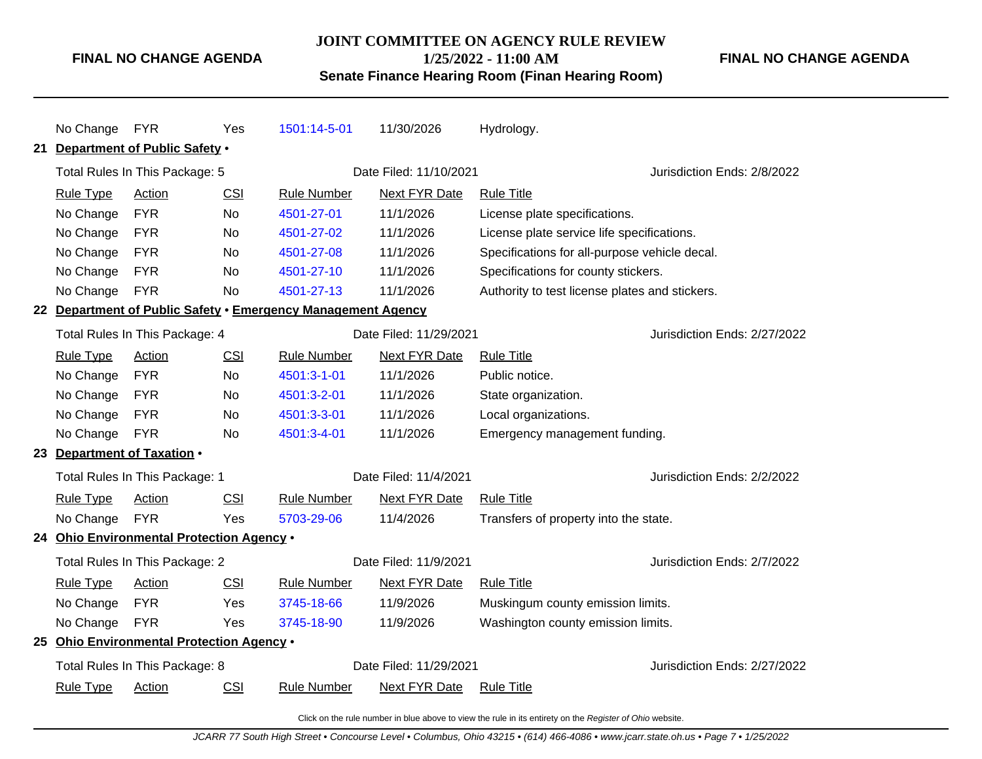## **JOINT COMMITTEE ON AGENCY RULE REVIEW 1/25/2022 - 11:00 AM**

### **FINAL NO CHANGE AGENDA**

**Senate Finance Hearing Room (Finan Hearing Room)**

|    | No Change FYR    |                                           | Yes        | 1501:14-5-01                                                 | 11/30/2026             | Hydrology.                                     |                              |
|----|------------------|-------------------------------------------|------------|--------------------------------------------------------------|------------------------|------------------------------------------------|------------------------------|
| 21 |                  | Department of Public Safety .             |            |                                                              |                        |                                                |                              |
|    |                  | Total Rules In This Package: 5            |            |                                                              | Date Filed: 11/10/2021 |                                                | Jurisdiction Ends: 2/8/2022  |
|    | <b>Rule Type</b> | Action                                    | CSI        | <b>Rule Number</b>                                           | Next FYR Date          | <b>Rule Title</b>                              |                              |
|    | No Change        | <b>FYR</b>                                | <b>No</b>  | 4501-27-01                                                   | 11/1/2026              | License plate specifications.                  |                              |
|    | No Change        | <b>FYR</b>                                | <b>No</b>  | 4501-27-02                                                   | 11/1/2026              | License plate service life specifications.     |                              |
|    | No Change        | <b>FYR</b>                                | No         | 4501-27-08                                                   | 11/1/2026              | Specifications for all-purpose vehicle decal.  |                              |
|    | No Change        | <b>FYR</b>                                | No         | 4501-27-10                                                   | 11/1/2026              | Specifications for county stickers.            |                              |
|    | No Change        | <b>FYR</b>                                | No         | 4501-27-13                                                   | 11/1/2026              | Authority to test license plates and stickers. |                              |
|    |                  |                                           |            | 22 Department of Public Safety . Emergency Management Agency |                        |                                                |                              |
|    |                  | Total Rules In This Package: 4            |            |                                                              | Date Filed: 11/29/2021 |                                                | Jurisdiction Ends: 2/27/2022 |
|    | <b>Rule Type</b> | <b>Action</b>                             | <b>CSI</b> | <b>Rule Number</b>                                           | <b>Next FYR Date</b>   | <b>Rule Title</b>                              |                              |
|    | No Change        | <b>FYR</b>                                | No.        | 4501:3-1-01                                                  | 11/1/2026              | Public notice.                                 |                              |
|    | No Change        | <b>FYR</b>                                | <b>No</b>  | 4501:3-2-01                                                  | 11/1/2026              | State organization.                            |                              |
|    | No Change        | <b>FYR</b>                                | No         | 4501:3-3-01                                                  | 11/1/2026              | Local organizations.                           |                              |
|    | No Change        | <b>FYR</b>                                | No         | 4501:3-4-01                                                  | 11/1/2026              | Emergency management funding.                  |                              |
|    |                  | 23 Department of Taxation .               |            |                                                              |                        |                                                |                              |
|    |                  | Total Rules In This Package: 1            |            |                                                              | Date Filed: 11/4/2021  |                                                | Jurisdiction Ends: 2/2/2022  |
|    | <b>Rule Type</b> | Action                                    | CSI        | <b>Rule Number</b>                                           | <b>Next FYR Date</b>   | <b>Rule Title</b>                              |                              |
|    | No Change        | <b>FYR</b>                                | Yes        | 5703-29-06                                                   | 11/4/2026              | Transfers of property into the state.          |                              |
|    |                  | 24 Ohio Environmental Protection Agency . |            |                                                              |                        |                                                |                              |
|    |                  | Total Rules In This Package: 2            |            |                                                              | Date Filed: 11/9/2021  |                                                | Jurisdiction Ends: 2/7/2022  |
|    | <b>Rule Type</b> | Action                                    | <b>CSI</b> | <b>Rule Number</b>                                           | <b>Next FYR Date</b>   | <b>Rule Title</b>                              |                              |
|    | No Change        | <b>FYR</b>                                | Yes        | 3745-18-66                                                   | 11/9/2026              | Muskingum county emission limits.              |                              |
|    | No Change        | <b>FYR</b>                                | Yes        | 3745-18-90                                                   | 11/9/2026              | Washington county emission limits.             |                              |
|    |                  | 25 Ohio Environmental Protection Agency . |            |                                                              |                        |                                                |                              |
|    |                  | Total Rules In This Package: 8            |            |                                                              | Date Filed: 11/29/2021 |                                                | Jurisdiction Ends: 2/27/2022 |
|    | <b>Rule Type</b> | <b>Action</b>                             | CSI        | <b>Rule Number</b>                                           | Next FYR Date          | <b>Rule Title</b>                              |                              |
|    |                  |                                           |            |                                                              |                        |                                                |                              |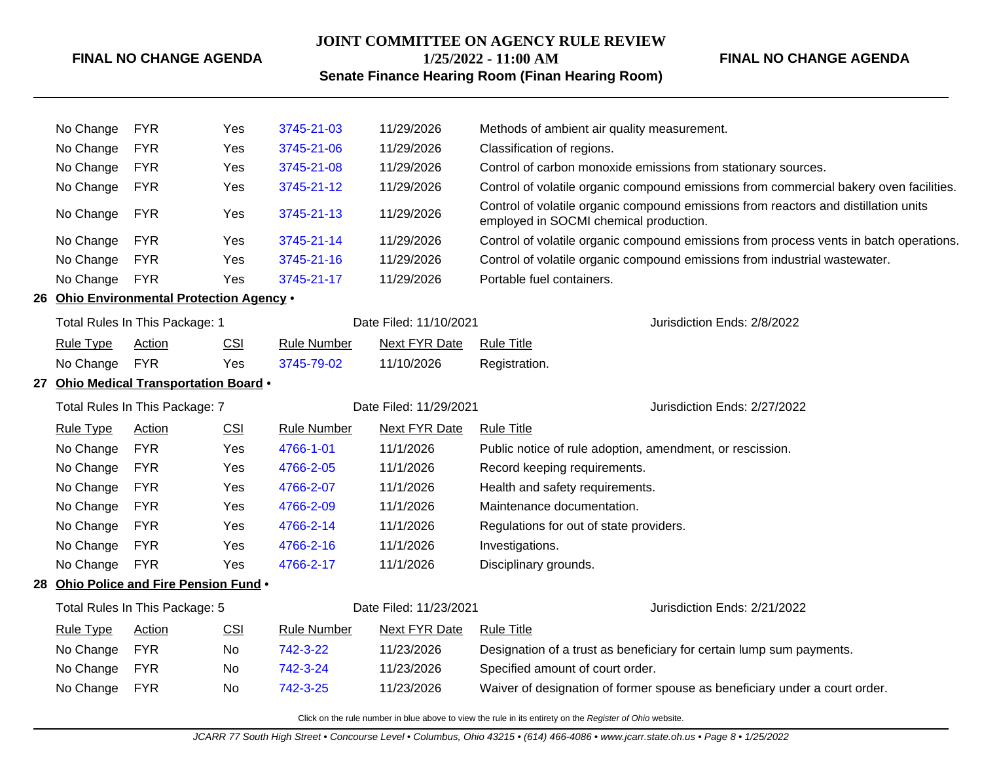### **JOINT COMMITTEE ON AGENCY RULE REVIEW**

### **1/25/2022 - 11:00 AM**

### **FINAL NO CHANGE AGENDA**

## **Senate Finance Hearing Room (Finan Hearing Room)**

| No Change        | <b>FYR</b>                                | Yes        | 3745-21-03         | 11/29/2026             | Methods of ambient air quality measurement.                                                                                   |  |  |
|------------------|-------------------------------------------|------------|--------------------|------------------------|-------------------------------------------------------------------------------------------------------------------------------|--|--|
| No Change        | <b>FYR</b>                                | Yes        | 3745-21-06         | 11/29/2026             | Classification of regions.                                                                                                    |  |  |
| No Change        | <b>FYR</b>                                | Yes        | 3745-21-08         | 11/29/2026             | Control of carbon monoxide emissions from stationary sources.                                                                 |  |  |
| No Change        | <b>FYR</b>                                | Yes        | 3745-21-12         | 11/29/2026             | Control of volatile organic compound emissions from commercial bakery oven facilities.                                        |  |  |
| No Change        | <b>FYR</b>                                | Yes        | 3745-21-13         | 11/29/2026             | Control of volatile organic compound emissions from reactors and distillation units<br>employed in SOCMI chemical production. |  |  |
| No Change        | <b>FYR</b>                                | Yes        | 3745-21-14         | 11/29/2026             | Control of volatile organic compound emissions from process vents in batch operations.                                        |  |  |
| No Change        | <b>FYR</b>                                | Yes        | 3745-21-16         | 11/29/2026             | Control of volatile organic compound emissions from industrial wastewater.                                                    |  |  |
| No Change        | <b>FYR</b>                                | Yes        | 3745-21-17         | 11/29/2026             | Portable fuel containers.                                                                                                     |  |  |
|                  | 26 Ohio Environmental Protection Agency . |            |                    |                        |                                                                                                                               |  |  |
|                  | Total Rules In This Package: 1            |            |                    | Date Filed: 11/10/2021 | Jurisdiction Ends: 2/8/2022                                                                                                   |  |  |
| <b>Rule Type</b> | <b>Action</b>                             | <b>CSI</b> | <b>Rule Number</b> | <b>Next FYR Date</b>   | <b>Rule Title</b>                                                                                                             |  |  |
| No Change        | <b>FYR</b>                                | Yes        | 3745-79-02         | 11/10/2026             | Registration.                                                                                                                 |  |  |
|                  | 27 Ohio Medical Transportation Board .    |            |                    |                        |                                                                                                                               |  |  |
|                  | Total Rules In This Package: 7            |            |                    | Date Filed: 11/29/2021 | Jurisdiction Ends: 2/27/2022                                                                                                  |  |  |
| <b>Rule Type</b> | Action                                    | <b>CSI</b> | <b>Rule Number</b> | <b>Next FYR Date</b>   | <b>Rule Title</b>                                                                                                             |  |  |
| No Change        | <b>FYR</b>                                | Yes        | 4766-1-01          | 11/1/2026              | Public notice of rule adoption, amendment, or rescission.                                                                     |  |  |
| No Change        | <b>FYR</b>                                | Yes        | 4766-2-05          | 11/1/2026              | Record keeping requirements.                                                                                                  |  |  |
| No Change        | <b>FYR</b>                                | Yes        | 4766-2-07          | 11/1/2026              | Health and safety requirements.                                                                                               |  |  |
| No Change        | <b>FYR</b>                                | Yes        | 4766-2-09          | 11/1/2026              | Maintenance documentation.                                                                                                    |  |  |
| No Change        | <b>FYR</b>                                | Yes        | 4766-2-14          | 11/1/2026              | Regulations for out of state providers.                                                                                       |  |  |
| No Change        | <b>FYR</b>                                | Yes        | 4766-2-16          | 11/1/2026              | Investigations.                                                                                                               |  |  |
| No Change        | <b>FYR</b>                                | Yes        | 4766-2-17          | 11/1/2026              | Disciplinary grounds.                                                                                                         |  |  |
|                  | 28 Ohio Police and Fire Pension Fund .    |            |                    |                        |                                                                                                                               |  |  |
|                  | Total Rules In This Package: 5            |            |                    | Date Filed: 11/23/2021 | Jurisdiction Ends: 2/21/2022                                                                                                  |  |  |
| <b>Rule Type</b> | Action                                    | <b>CSI</b> | <b>Rule Number</b> | <b>Next FYR Date</b>   | <b>Rule Title</b>                                                                                                             |  |  |
| No Change        | <b>FYR</b>                                | No.        | 742-3-22           | 11/23/2026             | Designation of a trust as beneficiary for certain lump sum payments.                                                          |  |  |
| No Change        | <b>FYR</b>                                | No         | 742-3-24           | 11/23/2026             | Specified amount of court order.                                                                                              |  |  |
| No Change        | <b>FYR</b>                                | No         | 742-3-25           | 11/23/2026             | Waiver of designation of former spouse as beneficiary under a court order.                                                    |  |  |
|                  |                                           |            |                    |                        |                                                                                                                               |  |  |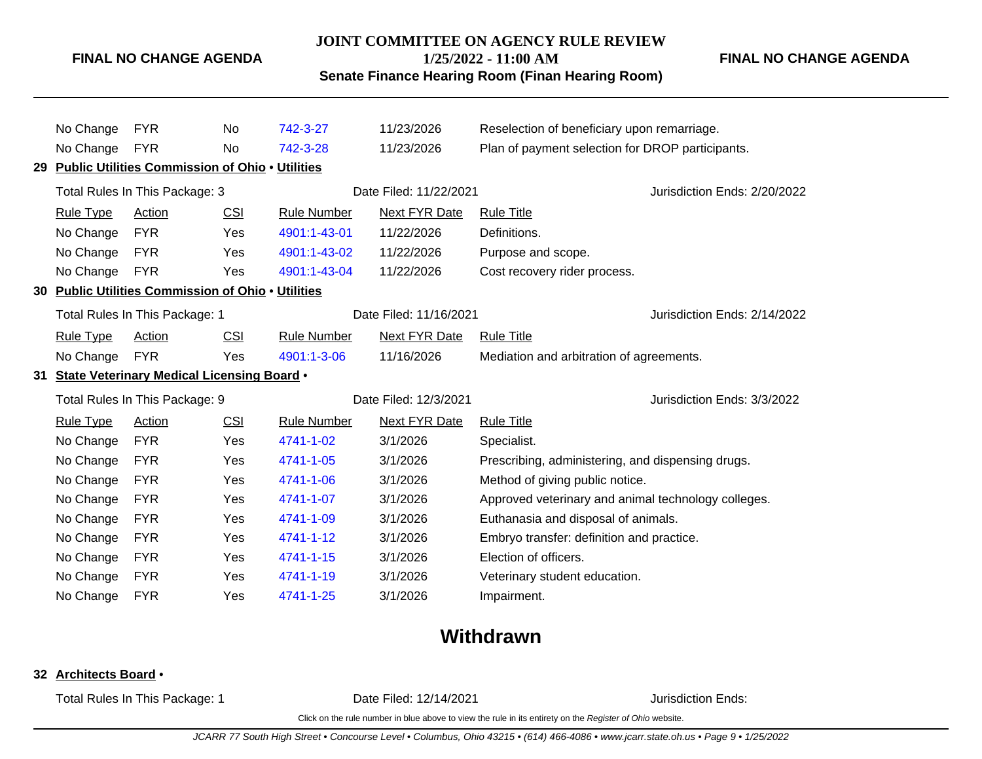#### **JOINT COMMITTEE ON AGENCY RULE REVIEW**

**1/25/2022 - 11:00 AM**

### **Senate Finance Hearing Room (Finan Hearing Room)**

**FINAL NO CHANGE AGENDA**

|    | No Change        | <b>FYR</b>                                             | No.        | 742-3-27           | 11/23/2026             | Reselection of beneficiary upon remarriage.         |                              |
|----|------------------|--------------------------------------------------------|------------|--------------------|------------------------|-----------------------------------------------------|------------------------------|
|    | No Change        | <b>FYR</b>                                             | No         | 742-3-28           | 11/23/2026             | Plan of payment selection for DROP participants.    |                              |
|    |                  | <b>Public Utilities Commission of Ohio . Utilities</b> |            |                    |                        |                                                     |                              |
|    |                  | Total Rules In This Package: 3                         |            |                    | Date Filed: 11/22/2021 |                                                     | Jurisdiction Ends: 2/20/2022 |
|    | <b>Rule Type</b> | Action                                                 | <b>CSI</b> | <b>Rule Number</b> | <b>Next FYR Date</b>   | <b>Rule Title</b>                                   |                              |
|    | No Change        | <b>FYR</b>                                             | Yes        | 4901:1-43-01       | 11/22/2026             | Definitions.                                        |                              |
|    | No Change        | <b>FYR</b>                                             | Yes        | 4901:1-43-02       | 11/22/2026             | Purpose and scope.                                  |                              |
|    | No Change        | <b>FYR</b>                                             | Yes        | 4901:1-43-04       | 11/22/2026             | Cost recovery rider process.                        |                              |
| 30 |                  | <b>Public Utilities Commission of Ohio . Utilities</b> |            |                    |                        |                                                     |                              |
|    |                  | Total Rules In This Package: 1                         |            |                    | Date Filed: 11/16/2021 |                                                     | Jurisdiction Ends: 2/14/2022 |
|    | <b>Rule Type</b> | Action                                                 | CSI        | <b>Rule Number</b> | <b>Next FYR Date</b>   | <b>Rule Title</b>                                   |                              |
|    | No Change        | <b>FYR</b>                                             | Yes        | 4901:1-3-06        | 11/16/2026             | Mediation and arbitration of agreements.            |                              |
|    |                  |                                                        |            |                    |                        |                                                     |                              |
|    |                  | 31 State Veterinary Medical Licensing Board .          |            |                    |                        |                                                     |                              |
|    |                  | Total Rules In This Package: 9                         |            |                    | Date Filed: 12/3/2021  |                                                     | Jurisdiction Ends: 3/3/2022  |
|    | <b>Rule Type</b> | <b>Action</b>                                          | <b>CSI</b> | Rule Number        | <b>Next FYR Date</b>   | <b>Rule Title</b>                                   |                              |
|    | No Change        | <b>FYR</b>                                             | Yes        | 4741-1-02          | 3/1/2026               | Specialist.                                         |                              |
|    | No Change        | <b>FYR</b>                                             | Yes        | 4741-1-05          | 3/1/2026               | Prescribing, administering, and dispensing drugs.   |                              |
|    | No Change        | <b>FYR</b>                                             | Yes        | 4741-1-06          | 3/1/2026               | Method of giving public notice.                     |                              |
|    | No Change        | <b>FYR</b>                                             | Yes        | 4741-1-07          | 3/1/2026               | Approved veterinary and animal technology colleges. |                              |
|    | No Change        | <b>FYR</b>                                             | Yes        | 4741-1-09          | 3/1/2026               | Euthanasia and disposal of animals.                 |                              |
|    | No Change        | <b>FYR</b>                                             | Yes        | 4741-1-12          | 3/1/2026               | Embryo transfer: definition and practice.           |                              |
|    | No Change        | <b>FYR</b>                                             | Yes        | 4741-1-15          | 3/1/2026               | Election of officers.                               |                              |
|    | No Change        | <b>FYR</b>                                             | Yes        | 4741-1-19          | 3/1/2026               | Veterinary student education.                       |                              |

# **Withdrawn**

### **32 Architects Board** •

Total Rules In This Package: 1 **Date Filed: 12/14/2021 Date Filed: 12/14/2021** Jurisdiction Ends: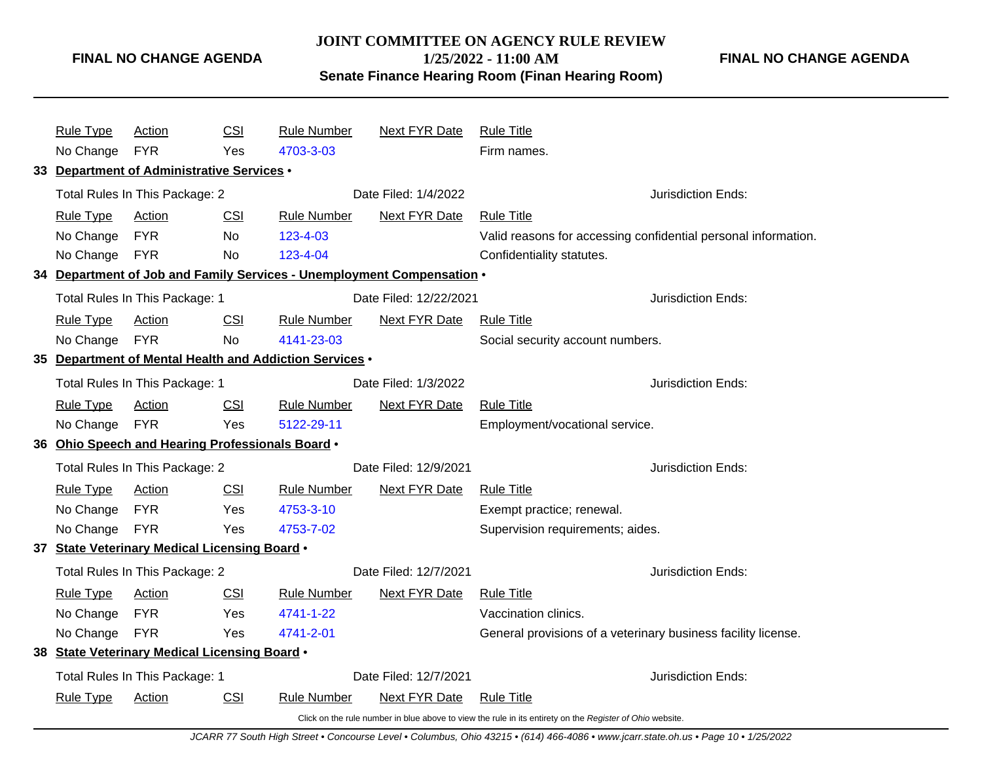## **JOINT COMMITTEE ON AGENCY RULE REVIEW 1/25/2022 - 11:00 AM Senate Finance Hearing Room (Finan Hearing Room)**

**FINAL NO CHANGE AGENDA**

| <b>Rule Type</b> | <b>Action</b>                                    | CSI        | <b>Rule Number</b>                                                     | <b>Next FYR Date</b>   | <b>Rule Title</b>                                                                                        |                                                                |
|------------------|--------------------------------------------------|------------|------------------------------------------------------------------------|------------------------|----------------------------------------------------------------------------------------------------------|----------------------------------------------------------------|
| No Change        | <b>FYR</b>                                       | Yes        | 4703-3-03                                                              |                        | Firm names.                                                                                              |                                                                |
|                  | 33 Department of Administrative Services .       |            |                                                                        |                        |                                                                                                          |                                                                |
|                  | Total Rules In This Package: 2                   |            |                                                                        | Date Filed: 1/4/2022   |                                                                                                          | Jurisdiction Ends:                                             |
| <b>Rule Type</b> | Action                                           | <b>CSI</b> | <b>Rule Number</b>                                                     | <b>Next FYR Date</b>   | <b>Rule Title</b>                                                                                        |                                                                |
| No Change        | <b>FYR</b>                                       | <b>No</b>  | 123-4-03                                                               |                        |                                                                                                          | Valid reasons for accessing confidential personal information. |
| No Change FYR    |                                                  | No.        | 123-4-04                                                               |                        | Confidentiality statutes.                                                                                |                                                                |
|                  |                                                  |            | 34 Department of Job and Family Services - Unemployment Compensation . |                        |                                                                                                          |                                                                |
|                  | Total Rules In This Package: 1                   |            |                                                                        | Date Filed: 12/22/2021 |                                                                                                          | Jurisdiction Ends:                                             |
| <b>Rule Type</b> | Action                                           | <b>CSI</b> | <b>Rule Number</b>                                                     | <b>Next FYR Date</b>   | <b>Rule Title</b>                                                                                        |                                                                |
| No Change FYR    |                                                  | No         | 4141-23-03                                                             |                        | Social security account numbers.                                                                         |                                                                |
|                  |                                                  |            | 35 Department of Mental Health and Addiction Services .                |                        |                                                                                                          |                                                                |
|                  | Total Rules In This Package: 1                   |            | Date Filed: 1/3/2022                                                   |                        |                                                                                                          | Jurisdiction Ends:                                             |
| <b>Rule Type</b> | Action                                           | <b>CSI</b> | <b>Rule Number</b>                                                     | <b>Next FYR Date</b>   | <b>Rule Title</b>                                                                                        |                                                                |
| No Change        | <b>FYR</b>                                       | Yes        | 5122-29-11                                                             |                        | Employment/vocational service.                                                                           |                                                                |
|                  | 36 Ohio Speech and Hearing Professionals Board . |            |                                                                        |                        |                                                                                                          |                                                                |
|                  | Total Rules In This Package: 2                   |            | Date Filed: 12/9/2021                                                  |                        |                                                                                                          | Jurisdiction Ends:                                             |
| <b>Rule Type</b> | <b>Action</b>                                    | <b>CSI</b> | <b>Rule Number</b>                                                     | <b>Next FYR Date</b>   | <b>Rule Title</b>                                                                                        |                                                                |
| No Change        | <b>FYR</b>                                       | Yes        | 4753-3-10                                                              |                        | Exempt practice; renewal.                                                                                |                                                                |
| No Change FYR    |                                                  | Yes        | 4753-7-02                                                              |                        | Supervision requirements; aides.                                                                         |                                                                |
|                  | 37 State Veterinary Medical Licensing Board .    |            |                                                                        |                        |                                                                                                          |                                                                |
|                  | Total Rules In This Package: 2                   |            |                                                                        | Date Filed: 12/7/2021  |                                                                                                          | Jurisdiction Ends:                                             |
| <b>Rule Type</b> | <b>Action</b>                                    | <b>CSI</b> | <b>Rule Number</b>                                                     | <b>Next FYR Date</b>   | <b>Rule Title</b>                                                                                        |                                                                |
| No Change        | <b>FYR</b>                                       | Yes        | 4741-1-22                                                              |                        | Vaccination clinics.                                                                                     |                                                                |
| No Change        | <b>FYR</b>                                       | Yes        | 4741-2-01                                                              |                        | General provisions of a veterinary business facility license.                                            |                                                                |
|                  | 38 State Veterinary Medical Licensing Board .    |            |                                                                        |                        |                                                                                                          |                                                                |
|                  | Total Rules In This Package: 1                   |            |                                                                        | Date Filed: 12/7/2021  |                                                                                                          | Jurisdiction Ends:                                             |
| <b>Rule Type</b> | <b>Action</b>                                    | <b>CSI</b> | <b>Rule Number</b>                                                     | <b>Next FYR Date</b>   | <b>Rule Title</b>                                                                                        |                                                                |
|                  |                                                  |            |                                                                        |                        | Click on the rule number in blue above to view the rule in its entirety on the Register of Ohio website. |                                                                |

JCARR 77 South High Street • Concourse Level • Columbus, Ohio 43215 • (614) 466-4086 • www.jcarr.state.oh.us • Page 10 • 1/25/2022